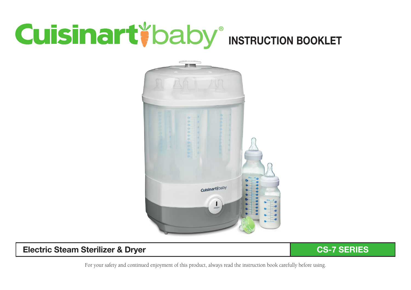# **Cuisinart** baby INSTRUCTION BOOKLET



### Electric Steam Sterilizer & Dryer CS-7 SERIES

For your safety and continued enjoyment of this product, always read the instruction book carefully before using.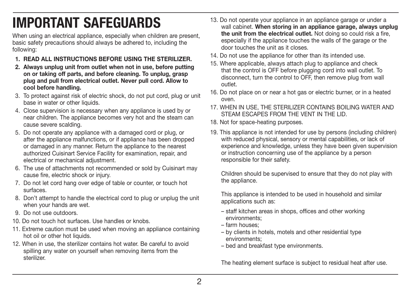# IMPORTANT SAFEGUARDS

When using an electrical appliance, especially when children are present. basic safety precautions should always be adhered to, including the following:

- 1. READ ALL INSTRUCTIONS BEFORE USING THE STERILIZER.
- 2. Always unplug unit from outlet when not in use, before putting on or taking off parts, and before cleaning. To unplug, grasp plug and pull from electrical outlet. Never pull cord. Allow to cool before handling.
- 3. To protect against risk of electric shock, do not put cord, plug or unit base in water or other liquids.
- 4. Close supervision is necessary when any appliance is used by or near children. The appliance becomes very hot and the steam can cause severe scalding.
- 5. Do not operate any appliance with a damaged cord or plug, or after the appliance malfunctions, or if appliance has been dropped or damaged in any manner. Return the appliance to the nearest authorized Cuisinart Service Facility for examination, repair, and electrical or mechanical adjustment.
- 6. The use of attachments not recommended or sold by Cuisinart may cause fire, electric shock or injury.
- 7. Do not let cord hang over edge of table or counter, or touch hot surfaces.
- 8. Don't attempt to handle the electrical cord to plug or unplug the unit when your hands are wet.
- 9. Do not use outdoors.
- 10. Do not touch hot surfaces. Use handles or knobs.
- 11. Extreme caution must be used when moving an appliance containing hot oil or other hot liquids.
- 12. When in use, the sterilizer contains hot water. Be careful to avoid spilling any water on yourself when removing items from the sterilizer.
- 13. Do not operate your appliance in an appliance garage or under a wall cabinet. When storing in an appliance garage, always unplug the unit from the electrical outlet. Not doing so could risk a fire, especially if the appliance touches the walls of the garage or the door touches the unit as it closes.
- 14. Do not use the appliance for other than its intended use.
- 15. Where applicable, always attach plug to appliance and check that the control is OFF before plugging cord into wall outlet. To disconnect, turn the control to OFF, then remove plug from wall outlet.
- 16. Do not place on or near a hot gas or electric burner, or in a heated oven.
- 17. WHEN IN USE, THE STERILIZER CONTAINS BOILING WATER AND STEAM ESCAPES FROM THE VENT IN THE LID.
- 18. Not for space-heating purposes.
- 19. This appliance is not intended for use by persons (including children) with reduced physical, sensory or mental capabilities, or lack of experience and knowledge, unless they have been given supervision or instruction concerning use of the appliance by a person responsible for their safety.

Children should be supervised to ensure that they do not play with the appliance.

This appliance is intended to be used in household and similar applications such as:

- staff kitchen areas in shops, offices and other working environments;
- farm houses;
- by clients in hotels, motels and other residential type environments;
- bed and breakfast type environments.

The heating element surface is subject to residual heat after use.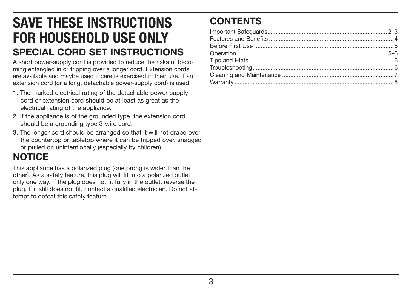# SAVE THESE INSTRUCTIONS FOR HOUSEHOLD USE ONLY SPECIAL CORD SET INSTRUCTIONS

A short power-supply cord is provided to reduce the risks of becoming entangled in or tripping over a longer cord. Extension cords are available and maybe used if care is exercised in their use. If an extension cord (or a long, detachable power-supply cord) is used:

- 1. The marked electrical rating of the detachable power-supply cord or extension cord should be at least as great as the electrical rating of the appliance.
- 2. If the appliance is of the grounded type, the extension cord should be a grounding type 3-wire cord.
- 3. The longer cord should be arranged so that it will not drape over the countertop or tabletop where it can be tripped over, snagged or pulled on unintentionally (especially by children).

# **NOTICE**

This appliance has a polarized plug (one prong is wider than the other). As a safety feature, this plug will fit into a polarized outlet only one way. If the plug does not fit fully in the outlet, reverse the plug. If it still does not fit, contact a qualified electrician. Do not attempt to defeat this safety feature.

# **CONTENTS**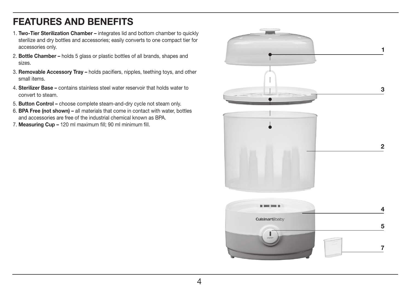### FEATURES AND BENEFITS

- 1. Two-Tier Sterilization Chamber integrates lid and bottom chamber to quickly sterilize and dry bottles and accessories; easily converts to one compact tier for accessories only.
- 2. Bottle Chamber holds 5 glass or plastic bottles of all brands, shapes and sizes.
- 3. Removable Accessory Tray holds pacifiers, nipples, teething toys, and other small items.
- 4. Sterilizer Base contains stainless steel water reservoir that holds water to convert to steam.
- 5. Button Control choose complete steam-and-dry cycle not steam only.
- 6. BPA Free (not shown) all materials that come in contact with water, bottles and accessories are free of the industrial chemical known as BPA.
- 7. Measuring Cup 120 ml maximum fill; 90 ml minimum fill.

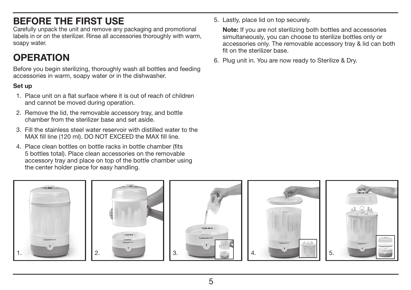# BEFORE THE FIRST USE

Carefully unpack the unit and remove any packaging and promotional labels in or on the sterilizer. Rinse all accessories thoroughly with warm, soapy water.

# **OPFRATION**

Before you begin sterilizing, thoroughly wash all bottles and feeding accessories in warm, soapy water or in the dishwasher.

### Set up

- 1. Place unit on a flat surface where it is out of reach of children and cannot be moved during operation.
- 2. Remove the lid, the removable accessory tray, and bottle chamber from the sterilizer base and set aside.
- 3. Fill the stainless steel water reservoir with distilled water to the MAX fill line (120 ml). DO NOT EXCEED the MAX fill line.
- 4. Place clean bottles on bottle racks in bottle chamber (fits 5 bottles total). Place clean accessories on the removable accessory tray and place on top of the bottle chamber using the center holder piece for easy handling.

5. Lastly, place lid on top securely.

 Note: If you are not sterilizing both bottles and accessories simultaneously, you can choose to sterilize bottles only or accessories only. The removable accessory tray & lid can both fit on the sterilizer base.

6. Plug unit in. You are now ready to Sterilize & Dry.

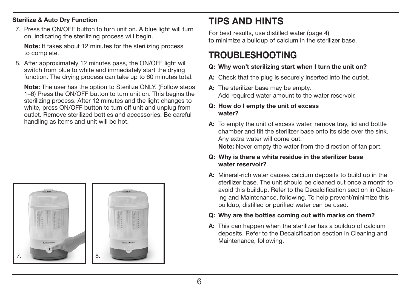### Sterilize & Auto Dry Function

7. Press the ON/OFF button to turn unit on. A blue light will turn on, indicating the sterilizing process will begin.

 Note: It takes about 12 minutes for the sterilizing process to complete.

8. After approximately 12 minutes pass, the ON/OFF light will switch from blue to white and immediately start the drying function. The drying process can take up to 60 minutes total.

 Note: The user has the option to Sterilize ONLY. (Follow steps 1–6) Press the ON/OFF button to turn unit on. This begins the sterilizing process. After 12 minutes and the light changes to white, press ON/OFF button to turn off unit and unplug from outlet. Remove sterilized bottles and accessories. Be careful handling as items and unit will be hot.



## TIPS AND HINTS

For best results, use distilled water (page 4) to minimize a buildup of calcium in the sterilizer base.

### TROUBLESHOOTING

### Q: Why won't sterilizing start when I turn the unit on?

- A: Check that the plug is securely inserted into the outlet.
- A: The sterilizer base may be empty. Add required water amount to the water reservoir.

### Q: How do I empty the unit of excess water?

A: To empty the unit of excess water, remove tray, lid and bottle chamber and tilt the sterilizer base onto its side over the sink. Any extra water will come out. Note: Never empty the water from the direction of fan port.

Q: Why is there a white residue in the sterilizer base water reservoir?

- A: Mineral-rich water causes calcium deposits to build up in the sterilizer base. The unit should be cleaned out once a month to avoid this buildup. Refer to the Decalcification section in Cleaning and Maintenance, following. To help prevent/minimize this buildup, distilled or purified water can be used.
- Q: Why are the bottles coming out with marks on them?
- A: This can happen when the sterilizer has a buildup of calcium deposits. Refer to the Decalcification section in Cleaning and Maintenance, following.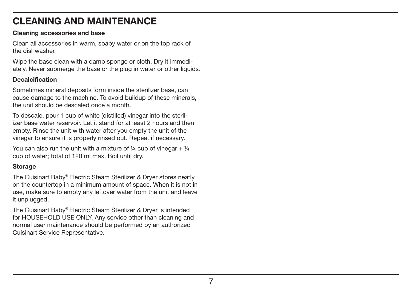## CI FANING AND MAINTENANCE

### Cleaning accessories and base

Clean all accessories in warm, soapy water or on the top rack of the dishwasher.

Wipe the base clean with a damp sponge or cloth. Dry it immediately. Never submerge the base or the plug in water or other liquids.

### **Decalcification**

Sometimes mineral deposits form inside the sterilizer base, can cause damage to the machine. To avoid buildup of these minerals, the unit should be descaled once a month.

To descale, pour 1 cup of white (distilled) vinegar into the sterilizer base water reservoir. Let it stand for at least 2 hours and then empty. Rinse the unit with water after you empty the unit of the vinegar to ensure it is properly rinsed out. Repeat if necessary.

You can also run the unit with a mixture of  $\frac{1}{4}$  cup of vinegar +  $\frac{1}{4}$ cup of water; total of 120 ml max. Boil until dry.

### Storage

The Cuisinart Baby® Electric Steam Sterilizer & Dryer stores neatly on the countertop in a minimum amount of space. When it is not in use, make sure to empty any leftover water from the unit and leave it unplugged.

The Cuisinart Baby® Electric Steam Sterilizer & Dryer is intended for HOUSEHOLD USE ONLY. Any service other than cleaning and normal user maintenance should be performed by an authorized Cuisinart Service Representative.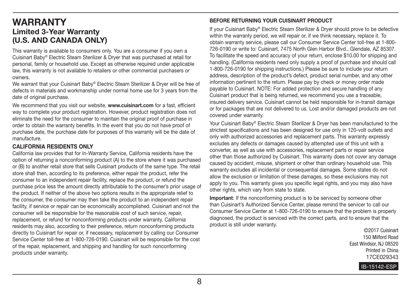### WARRANTY Limited 3-Year Warranty (U.S. AND CANADA ONLY)

This warranty is available to consumers only. You are a consumer if you own a Cuisinart Baby® Electric Steam Sterilizer & Dryer that was purchased at retail for personal, family or household use. Except as otherwise required under applicable law, this warranty is not available to retailers or other commercial purchasers or owners.

We warrant that your Cuisinart Baby® Electric Steam Sterilizer & Dryer will be free of defects in materials and workmanship under normal home use for 3 years from the date of original purchase.

We recommend that you visit our website, www.cuisinart.com for a fast, efficient way to complete your product registration. However, product registration does not eliminate the need for the consumer to maintain the original proof of purchase in order to obtain the warranty benefits. In the event that you do not have proof of purchase date, the purchase date for purposes of this warranty will be the date of manufacture.

### CALIFORNIA RESIDENTS ONLY

California law provides that for In-Warranty Service, California residents have the option of returning a nonconforming product (A) to the store where it was purchased or (B) to another retail store that sells Cuisinart products of the same type. The retail store shall then, according to its preference, either repair the product, refer the consumer to an independent repair facility, replace the product, or refund the purchase price less the amount directly attributable to the consumer's prior usage of the product. If neither of the above two options results in the appropriate relief to the consumer, the consumer may then take the product to an independent repair facility, if service or repair can be economically accomplished. Cuisinart and not the consumer will be responsible for the reasonable cost of such service, repair, replacement, or refund for nonconforming products under warranty. California residents may also, according to their preference, return nonconforming products directly to Cuisinart for repair or, if necessary, replacement by calling our Consumer Service Center toll-free at 1-800-726-0190. Cuisinart will be responsible for the cost of the repair, replacement, and shipping and handling for such nonconforming products under warranty.

#### BEFORE RETURNING YOUR CUISINART PRODUCT

If your Cuisinart Baby® Electric Steam Sterilizer & Dryer should prove to be defective within the warranty period, we will repair or, if we think necessary, replace it. To obtain warranty service, please call our Consumer Service Center toll-free at 1-800- 726-0190 or write to: Cuisinart, 7475 North Glen Harbor Blvd., Glendale, AZ 85307. To facilitate the speed and accuracy of your return, enclose \$10.00 for shipping and handling. (California residents need only supply a proof of purchase and should call 1-800-726-0190 for shipping instructions.) Please be sure to include your return address, description of the product's defect, product serial number, and any other information pertinent to the return. Please pay by check or money order made payable to Cuisinart. NOTE: For added protection and secure handling of any Cuisinart product that is being returned, we recommend you use a traceable, insured delivery service. Cuisinart cannot be held responsible for in-transit damage or for packages that are not delivered to us. Lost and/or damaged products are not covered under warranty.

Your Cuisinart Baby® Electric Steam Sterilizer & Dryer has been manufactured to the strictest specifications and has been designed for use only in 120-volt outlets and only with authorized accessories and replacement parts. This warranty expressly excludes any defects or damages caused by attempted use of this unit with a converter, as well as use with accessories, replacement parts or repair service other than those authorized by Cuisinart. This warranty does not cover any damage caused by accident, misuse, shipment or other than ordinary household use. This warranty excludes all incidental or consequential damages. Some states do not allow the exclusion or limitation of these damages, so these exclusions may not apply to you. This warranty gives you specific legal rights, and you may also have other rights, which vary from state to state.

Important: If the nonconforming product is to be serviced by someone other than Cuisinart's Authorized Service Center, please remind the servicer to call our Consumer Service Center at 1-800-726-0190 to ensure that the problem is properly diagnosed, the product is serviced with the correct parts, and to ensure that the product is still under warranty.

©2017 Cuisinart 150 Milford Road East Windsor, NJ 08520 Printed in China 17CE029343

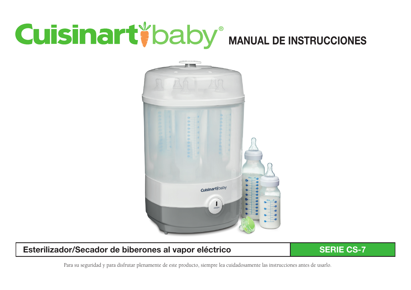# **Cuisinart baby MANUAL DE INSTRUCCIONES**



### Esterilizador/Secador de biberones al vapor eléctrico SERIE CS-7

Para su seguridad y para disfrutar plenamente de este producto, siempre lea cuidadosamente las instrucciones antes de usarlo.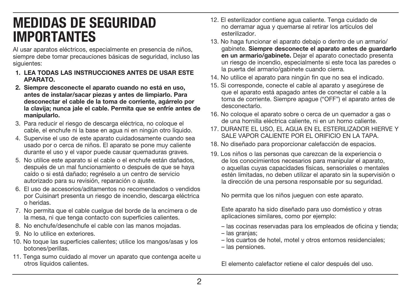# MEDIDAS DE SEGURIDAD IMPORTANTES

Al usar aparatos eléctricos, especialmente en presencia de niños, siempre debe tomar precauciones básicas de seguridad, incluso las siguientes:

- 1. LEA TODAS LAS INSTRUCCIONES ANTES DE USAR ESTE APARATO.
- 2. Siempre desconecte el aparato cuando no está en uso, antes de instalar/sacar piezas y antes de limpiarlo. Para desconectar el cable de la toma de corriente, agárrelo por la clavija; nunca jale el cable. Permita que se enfríe antes de manipularlo.
- 3. Para reducir el riesgo de descarga eléctrica, no coloque el cable, el enchufe ni la base en agua ni en ningún otro líquido.
- 4. Supervise el uso de este aparato cuidadosamente cuando sea usado por o cerca de niños. El aparato se pone muy caliente durante el uso y el vapor puede causar quemaduras graves.
- 5. No utilice este aparato si el cable o el enchufe están dañados, después de un mal funcionamiento o después de que se haya caído o si está dañado; regréselo a un centro de servicio autorizado para su revisión, reparación o ajuste.
- 6. El uso de accesorios/aditamentos no recomendados o vendidos por Cuisinart presenta un riesgo de incendio, descarga eléctrica o heridas.
- 7. No permita que el cable cuelgue del borde de la encimera o de la mesa, ni que tenga contacto con superficies calientes.
- 8. No enchufe/desenchufe el cable con las manos mojadas.
- 9. No lo utilice en exteriores.
- 10. No toque las superficies calientes; utilice los mangos/asas y los botones/perillas.
- 11. Tenga sumo cuidado al mover un aparato que contenga aceite u otros líquidos calientes.
- 12. El esterilizador contiene agua caliente. Tenga cuidado de no derramar agua y quemarse al retirar los artículos del esterilizador.
- 13. No haga funcionar el aparato debajo o dentro de un armario/ gabinete. Siempre desconecte el aparato antes de guardarlo en un armario/gabinete. Dejar el aparato conectado presenta un riesgo de incendio, especialmente si este toca las paredes o la puerta del armario/gabinete cuando cierra.
- 14. No utilice el aparato para ningún fin que no sea el indicado.
- 15. Si corresponde, conecte el cable al aparato y asegúrese de que el aparato está apagado antes de conectar el cable a la toma de corriente. Siempre apague ("OFF") el aparato antes de desconectarlo.
- 16. No coloque el aparato sobre o cerca de un quemador a gas o de una hornilla eléctrica caliente, ni en un horno caliente.
- 17. DURANTE EL USO, EL AGUA EN EL ESTERILIZADOR HIERVE Y SALE VAPOR CALIENTE POR EL ORIFICIO EN LA TAPA.
- 18. No diseñado para proporcionar calefacción de espacios.
- 19. Los niños o las personas que carezcan de la experiencia o de los conocimientos necesarios para manipular el aparato, o aquellas cuyas capacidades físicas, sensoriales o mentales estén limitadas, no deben utilizar el aparato sin la supervisión o la dirección de una persona responsable por su seguridad.

No permita que los niños jueguen con este aparato.

Este aparato ha sido diseñado para uso doméstico y otras aplicaciones similares, como por ejemplo:

- las cocinas reservadas para los empleados de oficina y tienda;
- las granjas;
- los cuartos de hotel, motel y otros entornos residenciales;
- las pensiones.

El elemento calefactor retiene el calor después del uso.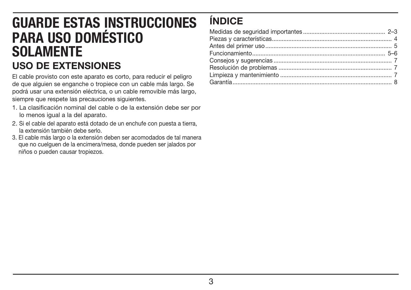# GUARDE ESTAS INSTRUCCIONES PARA USO DOMÉSTICO SOLAMENTE USO DE EXTENSIONES

El cable provisto con este aparato es corto, para reducir el peligro de que alguien se enganche o tropiece con un cable más largo. Se podrá usar una extensión eléctrica, o un cable removible más largo, siempre que respete las precauciones siguientes.

- 1. La clasificación nominal del cable o de la extensión debe ser por lo menos igual a la del aparato.
- 2. Si el cable del aparato está dotado de un enchufe con puesta a tierra, la extensión también debe serlo.
- 3. El cable más largo o la extensión deben ser acomodados de tal manera que no cuelguen de la encimera/mesa, donde pueden ser jalados por niños o pueden causar tropiezos.

# ÍNDICE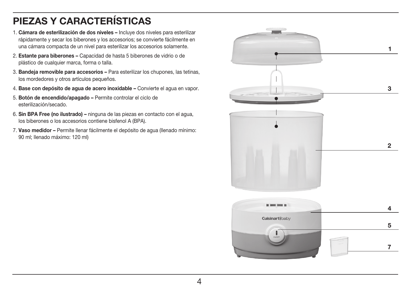# PIEZAS Y CARACTERÍSTICAS

- 1. Cámara de esterilización de dos niveles Incluye dos niveles para esterilizar rápidamente y secar los biberones y los accesorios; se convierte fácilmente en una cámara compacta de un nivel para esterilizar los accesorios solamente.
- 2. Estante para biberones Capacidad de hasta 5 biberones de vidrio o de plástico de cualquier marca, forma o talla.
- 3. Bandeja removible para accesorios Para esterilizar los chupones, las tetinas, los mordedores y otros artículos pequeños.
- 4. Base con depósito de agua de acero inoxidable Convierte el agua en vapor.
- 5. Botón de encendido/apagado Permite controlar el ciclo de esterilización/secado.
- 6. Sin BPA Free (no ilustrado) ninguna de las piezas en contacto con el agua, los biberones o los accesorios contiene bisfenol A (BPA).
- 7. Vaso medidor Permite llenar fácilmente el depósito de agua (llenado mínimo: 90 ml; llenado máximo: 120 ml)

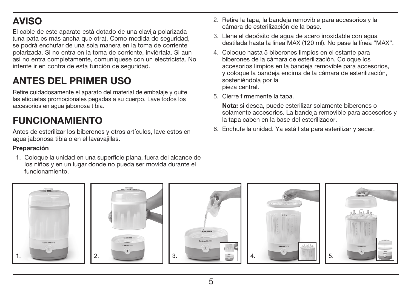# AVISO

El cable de este aparato está dotado de una clavija polarizada (una pata es más ancha que otra). Como medida de seguridad, se podrá enchufar de una sola manera en la toma de corriente polarizada. Si no entra en la toma de corriente, inviértala. Si aun así no entra completamente, comuníquese con un electricista. No intente ir en contra de esta función de seguridad.

# ANTES DEL PRIMER USO

Retire cuidadosamente el aparato del material de embalaje y quite las etiquetas promocionales pegadas a su cuerpo. Lave todos los accesorios en agua jabonosa tibia.

# FUNCIONAMIENTO

Antes de esterilizar los biberones y otros artículos, lave estos en agua jabonosa tibia o en el lavavajillas.

### Preparación

1. Coloque la unidad en una superficie plana, fuera del alcance de los niños y en un lugar donde no pueda ser movida durante el funcionamiento.

- 2. Retire la tapa, la bandeja removible para accesorios y la cámara de esterilización de la base.
- 3. Llene el depósito de agua de acero inoxidable con agua destilada hasta la línea MAX (120 ml). No pase la línea "MAX".
- 4. Coloque hasta 5 biberones limpios en el estante para biberones de la cámara de esterilización. Coloque los accesorios limpios en la bandeja removible para accesorios, y coloque la bandeja encima de la cámara de esterilización, sosteniéndola por la pieza central.
- 5. Cierre firmemente la tapa.

 Nota: si desea, puede esterilizar solamente biberones o solamente accesorios. La bandeja removible para accesorios y la tapa caben en la base del esterilizador.

6. Enchufe la unidad. Ya está lista para esterilizar y secar.

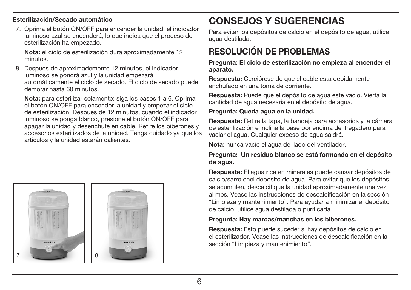### Esterilización/Secado automático

7. Oprima el botón ON/OFF para encender la unidad; el indicador luminoso azul se encenderá, lo que indica que el proceso de esterilización ha empezado.

 Nota: el ciclo de esterilización dura aproximadamente 12 minutos.

8. Después de aproximademente 12 minutos, el indicador luminoso se pondrá azul y la unidad empezará automáticamente el ciclo de secado. El ciclo de secado puede demorar hasta 60 minutos.

 Nota: para esterilizar solamente: siga los pasos 1 a 6. Oprima el botón ON/OFF para encender la unidad y empezar el ciclo de esterilización. Después de 12 minutos, cuando el indicador luminoso se ponga blanco, presione el botón ON/OFF para apagar la unidad y desenchufe en cable. Retire los biberones y accesorios esterilizados de la unidad. Tenga cuidado ya que los artículos y la unidad estarán calientes.



# CONSEJOS Y SUGERENCIAS

Para evitar los depósitos de calcio en el depósito de agua, utilice agua destilada.

### RESOLUCIÓN DE PROBLEMAS

Pregunta: El ciclo de esterilización no empieza al encender el aparato.

Respuesta: Cerciórese de que el cable está debidamente enchufado en una toma de corriente.

Respuesta: Puede que el depósito de agua esté vacío. Vierta la cantidad de agua necesaria en el depósito de agua.

### Pregunta: Queda agua en la unidad.

Respuesta: Retire la tapa, la bandeja para accesorios y la cámara de esterilización e incline la base por encima del fregadero para vaciar el agua. Cualquier exceso de agua saldrá.

Nota: nunca vacíe el agua del lado del ventilador.

### Pregunta: Un residuo blanco se está formando en el depósito de agua.

Respuesta: El agua rica en minerales puede causar depósitos de calcio/sarro enel depósito de agua. Para evitar que los depósitos se acumulen, descalcifique la unidad aproximadamente una vez al mes. Véase las instrucciones de descalcificación en la sección "Limpieza y mantenimiento". Para ayudar a minimizar el depósito de calcio, utilice agua destilada o purificada.

### Pregunta: Hay marcas/manchas en los biberones.

Respuesta: Esto puede suceder si hay depósitos de calcio en el esterilizador. Véase las instrucciones de descalcificación en la sección "Limpieza y mantenimiento".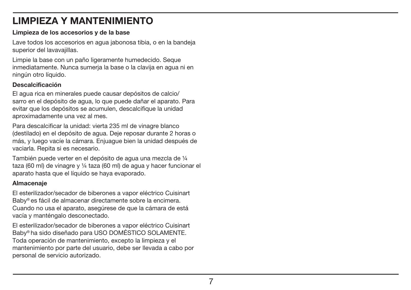# LIMPIEZA Y MANTENIMIENTO

### Limpieza de los accesorios y de la base

Lave todos los accesorios en agua jabonosa tibia, o en la bandeja superior del lavavajillas.

Limpie la base con un paño ligeramente humedecido. Seque inmediatamente. Nunca sumerja la base o la clavija en agua ni en ningún otro líquido.

### Descalcificación

El agua rica en minerales puede causar depósitos de calcio/ sarro en el depósito de agua, lo que puede dañar el aparato. Para evitar que los depósitos se acumulen, descalcifique la unidad aproximadamente una vez al mes.

Para descalcificar la unidad: vierta 235 ml de vinagre blanco (destilado) en el depósito de agua. Deje reposar durante 2 horas o más, y luego vacíe la cámara. Enjuague bien la unidad después de vaciarla. Repita si es necesario.

También puede verter en el depósito de agua una mezcla de ¼ taza (60 ml) de vinagre y ¼ taza (60 ml) de agua y hacer funcionar el aparato hasta que el líquido se haya evaporado.

### Almacenaje

El esterilizador/secador de biberones a vapor eléctrico Cuisinart Baby® es fácil de almacenar directamente sobre la encimera. Cuando no usa el aparato, asegúrese de que la cámara de está vacía y manténgalo desconectado.

El esterilizador/secador de biberones a vapor eléctrico Cuisinart Baby® ha sido diseñado para USO DOMÉSTICO SOLAMENTE. Toda operación de mantenimiento, excepto la limpieza y el mantenimiento por parte del usuario, debe ser llevada a cabo por personal de servicio autorizado.